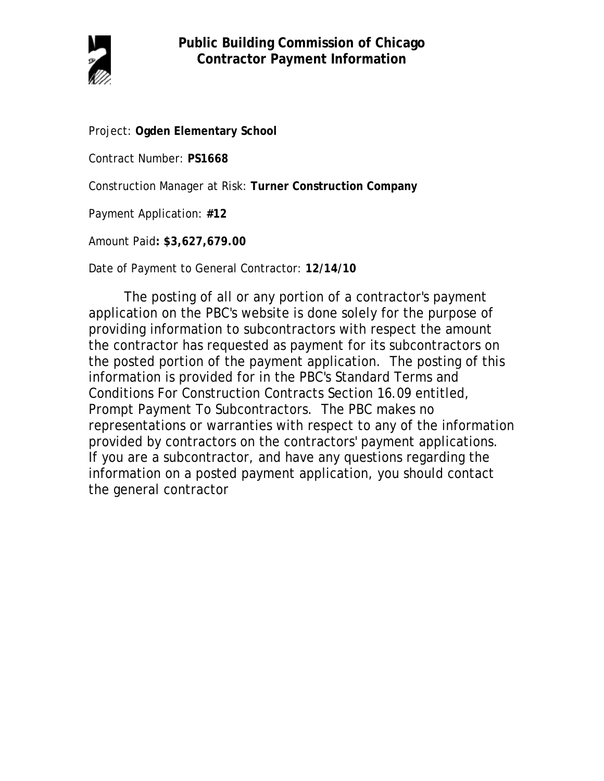

Project: **Ogden Elementary School**

Contract Number: **PS1668**

Construction Manager at Risk: **Turner Construction Company**

Payment Application: **#12**

Amount Paid**: \$3,627,679.00**

Date of Payment to General Contractor: **12/14/10**

The posting of all or any portion of a contractor's payment application on the PBC's website is done solely for the purpose of providing information to subcontractors with respect the amount the contractor has requested as payment for its subcontractors on the posted portion of the payment application. The posting of this information is provided for in the PBC's Standard Terms and Conditions For Construction Contracts Section 16.09 entitled, Prompt Payment To Subcontractors. The PBC makes no representations or warranties with respect to any of the information provided by contractors on the contractors' payment applications. If you are a subcontractor, and have any questions regarding the information on a posted payment application, you should contact the general contractor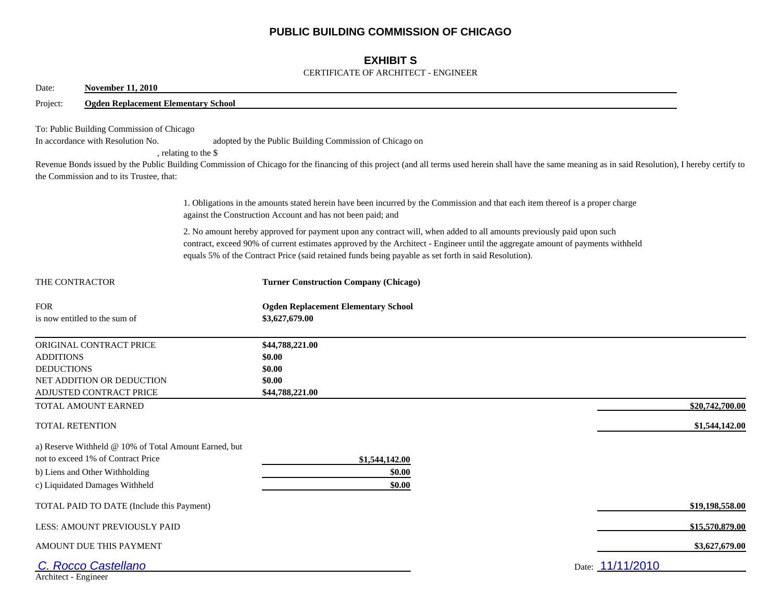## **PUBLIC BUILDING COMMISSION OF CHICAGO**

## **EXHIBIT S**

### CERTIFICATE OF ARCHITECT - ENGINEER

| Date:<br><b>November 11, 2010</b>                                                                                                                               |                                                                                                                                                                                                                                                                                                                                                                |  |
|-----------------------------------------------------------------------------------------------------------------------------------------------------------------|----------------------------------------------------------------------------------------------------------------------------------------------------------------------------------------------------------------------------------------------------------------------------------------------------------------------------------------------------------------|--|
| <b>Ogden Replacement Elementary School</b><br>Project:                                                                                                          |                                                                                                                                                                                                                                                                                                                                                                |  |
| To: Public Building Commission of Chicago<br>In accordance with Resolution No.<br>the Commission and to its Trustee, that:                                      | adopted by the Public Building Commission of Chicago on<br>, relating to the \$<br>Revenue Bonds issued by the Public Building Commission of Chicago for the financing of this project (and all terms used herein shall have the same meaning as in said Resolution), I hereby certify to                                                                      |  |
|                                                                                                                                                                 | 1. Obligations in the amounts stated herein have been incurred by the Commission and that each item thereof is a proper charge<br>against the Construction Account and has not been paid; and                                                                                                                                                                  |  |
|                                                                                                                                                                 | 2. No amount hereby approved for payment upon any contract will, when added to all amounts previously paid upon such<br>contract, exceed 90% of current estimates approved by the Architect - Engineer until the aggregate amount of payments withheld<br>equals 5% of the Contract Price (said retained funds being payable as set forth in said Resolution). |  |
| THE CONTRACTOR                                                                                                                                                  | <b>Turner Construction Company (Chicago)</b>                                                                                                                                                                                                                                                                                                                   |  |
| <b>FOR</b><br>is now entitled to the sum of                                                                                                                     | <b>Ogden Replacement Elementary School</b><br>\$3,627,679.00                                                                                                                                                                                                                                                                                                   |  |
| ORIGINAL CONTRACT PRICE<br><b>ADDITIONS</b><br><b>DEDUCTIONS</b><br>NET ADDITION OR DEDUCTION<br>ADJUSTED CONTRACT PRICE                                        | \$44,788,221.00<br>\$0.00<br>\$0.00<br>\$0.00<br>\$44,788,221.00                                                                                                                                                                                                                                                                                               |  |
| TOTAL AMOUNT EARNED                                                                                                                                             | \$20,742,700.00                                                                                                                                                                                                                                                                                                                                                |  |
| TOTAL RETENTION                                                                                                                                                 | \$1,544,142.00                                                                                                                                                                                                                                                                                                                                                 |  |
| a) Reserve Withheld @ 10% of Total Amount Earned, but<br>not to exceed 1% of Contract Price<br>b) Liens and Other Withholding<br>c) Liquidated Damages Withheld | \$1,544,142.00<br>\$0.00<br>\$0.00                                                                                                                                                                                                                                                                                                                             |  |
| TOTAL PAID TO DATE (Include this Payment)                                                                                                                       | \$19,198,558.00                                                                                                                                                                                                                                                                                                                                                |  |
| LESS: AMOUNT PREVIOUSLY PAID                                                                                                                                    | \$15,570,879.00                                                                                                                                                                                                                                                                                                                                                |  |
| AMOUNT DUE THIS PAYMENT                                                                                                                                         | \$3,627,679.00                                                                                                                                                                                                                                                                                                                                                 |  |
| C. Rocco Castellano<br>Architect - Engineer                                                                                                                     | Date: 11/11/2010                                                                                                                                                                                                                                                                                                                                               |  |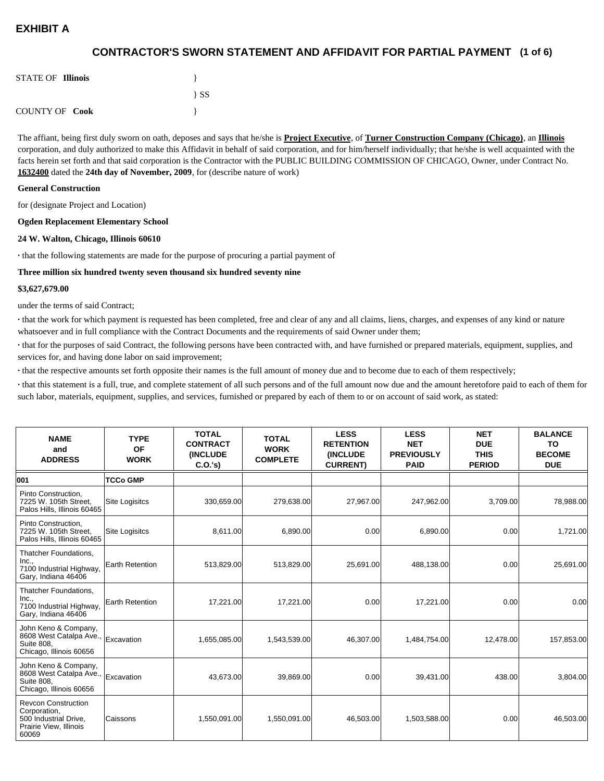## **(1 of 6) CONTRACTOR'S SWORN STATEMENT AND AFFIDAVIT FOR PARTIAL PAYMENT**

| <b>STATE OF Illinois</b> |          |
|--------------------------|----------|
|                          | $\{SS\}$ |
| <b>COUNTY OF Cook</b>    |          |

The affiant, being first duly sworn on oath, deposes and says that he/she is **Project Executive**, of **Turner Construction Company (Chicago)**, an **Illinois** corporation, and duly authorized to make this Affidavit in behalf of said corporation, and for him/herself individually; that he/she is well acquainted with the facts herein set forth and that said corporation is the Contractor with the PUBLIC BUILDING COMMISSION OF CHICAGO, Owner, under Contract No. **1632400** dated the **24th day of November, 2009**, for (describe nature of work)

#### **General Construction**

for (designate Project and Location)

#### **Ogden Replacement Elementary School**

#### **24 W. Walton, Chicago, Illinois 60610**

**·** that the following statements are made for the purpose of procuring a partial payment of

#### **Three million six hundred twenty seven thousand six hundred seventy nine**

#### **\$3,627,679.00**

under the terms of said Contract;

**·** that the work for which payment is requested has been completed, free and clear of any and all claims, liens, charges, and expenses of any kind or nature whatsoever and in full compliance with the Contract Documents and the requirements of said Owner under them;

**·** that for the purposes of said Contract, the following persons have been contracted with, and have furnished or prepared materials, equipment, supplies, and services for, and having done labor on said improvement;

**·** that the respective amounts set forth opposite their names is the full amount of money due and to become due to each of them respectively;

**·** that this statement is a full, true, and complete statement of all such persons and of the full amount now due and the amount heretofore paid to each of them for such labor, materials, equipment, supplies, and services, furnished or prepared by each of them to or on account of said work, as stated:

| <b>NAME</b><br>and<br><b>ADDRESS</b>                                                                   | <b>TYPE</b><br><b>OF</b><br><b>WORK</b> | <b>TOTAL</b><br><b>CONTRACT</b><br><b>(INCLUDE</b><br>C.O.'s | <b>TOTAL</b><br><b>WORK</b><br><b>COMPLETE</b> | <b>LESS</b><br><b>RETENTION</b><br><b>(INCLUDE</b><br><b>CURRENT)</b> | <b>LESS</b><br><b>NET</b><br><b>PREVIOUSLY</b><br><b>PAID</b> | <b>NET</b><br><b>DUE</b><br><b>THIS</b><br><b>PERIOD</b> | <b>BALANCE</b><br><b>TO</b><br><b>BECOME</b><br><b>DUE</b> |
|--------------------------------------------------------------------------------------------------------|-----------------------------------------|--------------------------------------------------------------|------------------------------------------------|-----------------------------------------------------------------------|---------------------------------------------------------------|----------------------------------------------------------|------------------------------------------------------------|
| 001                                                                                                    | <b>TCCo GMP</b>                         |                                                              |                                                |                                                                       |                                                               |                                                          |                                                            |
| Pinto Construction.<br>7225 W. 105th Street.<br>Palos Hills, Illinois 60465                            | Site Logisitcs                          | 330,659.00                                                   | 279,638.00                                     | 27,967.00                                                             | 247,962.00                                                    | 3,709.00                                                 | 78,988.00                                                  |
| Pinto Construction,<br>7225 W. 105th Street.<br>Palos Hills, Illinois 60465                            | Site Logisitcs                          | 8,611.00                                                     | 6,890.00                                       | 0.00                                                                  | 6,890.00                                                      | 0.00                                                     | 1,721.00                                                   |
| Thatcher Foundations.<br>Inc.,<br>7100 Industrial Highway,<br>Gary, Indiana 46406                      | <b>Earth Retention</b>                  | 513,829.00                                                   | 513,829.00                                     | 25,691.00                                                             | 488,138.00                                                    | 0.00                                                     | 25,691.00                                                  |
| Thatcher Foundations,<br>Inc.,<br>7100 Industrial Highway,<br>Gary, Indiana 46406                      | Earth Retention                         | 17,221.00                                                    | 17,221.00                                      | 0.00                                                                  | 17,221.00                                                     | 0.00                                                     | 0.00                                                       |
| John Keno & Company,<br>8608 West Catalpa Ave.,<br>Suite 808,<br>Chicago, Illinois 60656               | Excavation                              | 1,655,085.00                                                 | 1,543,539.00                                   | 46,307.00                                                             | 1,484,754.00                                                  | 12,478.00                                                | 157,853.00                                                 |
| John Keno & Company,<br>8608 West Catalpa Ave.,<br><b>Suite 808.</b><br>Chicago, Illinois 60656        | Excavation                              | 43,673.00                                                    | 39,869.00                                      | 0.00                                                                  | 39,431.00                                                     | 438.00                                                   | 3,804.00                                                   |
| <b>Revcon Construction</b><br>Corporation,<br>500 Industrial Drive,<br>Prairie View, Illinois<br>60069 | Caissons                                | 1,550,091.00                                                 | 1,550,091.00                                   | 46,503.00                                                             | 1,503,588.00                                                  | 0.00                                                     | 46,503.00                                                  |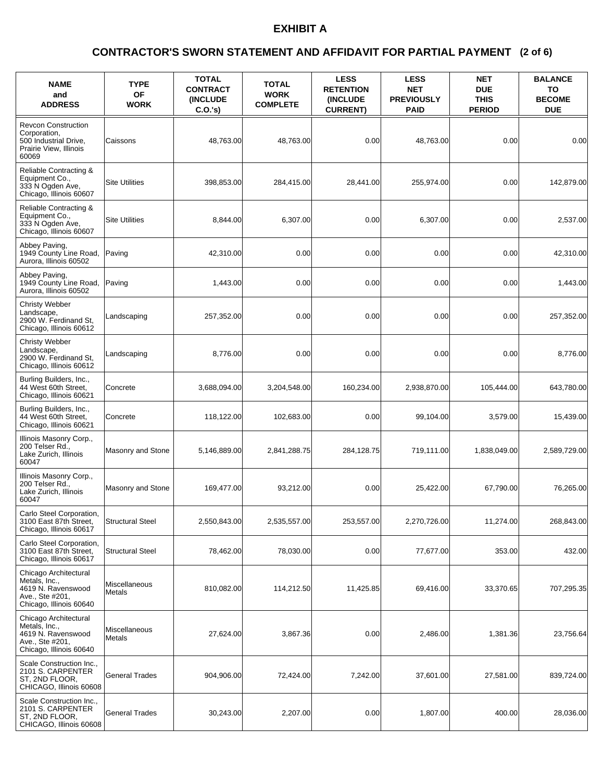### **(2 of 6) CONTRACTOR'S SWORN STATEMENT AND AFFIDAVIT FOR PARTIAL PAYMENT**

| <b>NAME</b><br>and<br><b>ADDRESS</b>                                                                       | <b>TYPE</b><br><b>OF</b><br><b>WORK</b> | <b>TOTAL</b><br><b>CONTRACT</b><br><b>(INCLUDE)</b><br>$C.O.'s$ ) | <b>TOTAL</b><br><b>WORK</b><br><b>COMPLETE</b> | <b>LESS</b><br><b>RETENTION</b><br><b>(INCLUDE)</b><br><b>CURRENT)</b> | <b>LESS</b><br><b>NET</b><br><b>PREVIOUSLY</b><br><b>PAID</b> | <b>NET</b><br><b>DUE</b><br><b>THIS</b><br><b>PERIOD</b> | <b>BALANCE</b><br>TO<br><b>BECOME</b><br><b>DUE</b> |
|------------------------------------------------------------------------------------------------------------|-----------------------------------------|-------------------------------------------------------------------|------------------------------------------------|------------------------------------------------------------------------|---------------------------------------------------------------|----------------------------------------------------------|-----------------------------------------------------|
| <b>Revcon Construction</b><br>Corporation,<br>500 Industrial Drive,<br>Prairie View, Illinois<br>60069     | Caissons                                | 48,763.00                                                         | 48,763.00                                      | 0.00                                                                   | 48,763.00                                                     | 0.00                                                     | 0.00                                                |
| Reliable Contracting &<br>Equipment Co.,<br>333 N Ogden Ave,<br>Chicago, Illinois 60607                    | <b>Site Utilities</b>                   | 398,853.00                                                        | 284,415.00                                     | 28,441.00                                                              | 255,974.00                                                    | 0.00                                                     | 142,879.00                                          |
| Reliable Contracting &<br>Equipment Co.,<br>333 N Ogden Ave,<br>Chicago, Illinois 60607                    | <b>Site Utilities</b>                   | 8,844.00                                                          | 6,307.00                                       | 0.00                                                                   | 6,307.00                                                      | 0.00                                                     | 2,537.00                                            |
| Abbey Paving,<br>1949 County Line Road,<br>Aurora, Illinois 60502                                          | Paving                                  | 42,310.00                                                         | 0.00                                           | 0.00                                                                   | 0.00                                                          | 0.00                                                     | 42,310.00                                           |
| Abbey Paving,<br>1949 County Line Road,<br>Aurora, Illinois 60502                                          | Paving                                  | 1,443.00                                                          | 0.00                                           | 0.00                                                                   | 0.00                                                          | 0.00                                                     | 1,443.00                                            |
| Christy Webber<br>Landscape.<br>2900 W. Ferdinand St,<br>Chicago, Illinois 60612                           | Landscaping                             | 257,352.00                                                        | 0.00                                           | 0.00                                                                   | 0.00                                                          | 0.00                                                     | 257,352.00                                          |
| Christy Webber<br>Landscape,<br>2900 W. Ferdinand St,<br>Chicago, Illinois 60612                           | Landscaping                             | 8,776.00                                                          | 0.00                                           | 0.00                                                                   | 0.00                                                          | 0.00                                                     | 8,776.00                                            |
| Burling Builders, Inc.,<br>44 West 60th Street,<br>Chicago, Illinois 60621                                 | Concrete                                | 3,688,094.00                                                      | 3,204,548.00                                   | 160,234.00                                                             | 2,938,870.00                                                  | 105,444.00                                               | 643,780.00                                          |
| Burling Builders, Inc.,<br>44 West 60th Street,<br>Chicago, Illinois 60621                                 | Concrete                                | 118,122.00                                                        | 102,683.00                                     | 0.00                                                                   | 99,104.00                                                     | 3,579.00                                                 | 15,439.00                                           |
| Illinois Masonry Corp.,<br>200 Telser Rd.,<br>Lake Zurich, Illinois<br>60047                               | Masonry and Stone                       | 5,146,889.00                                                      | 2,841,288.75                                   | 284,128.75                                                             | 719,111.00                                                    | 1,838,049.00                                             | 2,589,729.00                                        |
| Illinois Masonry Corp.,<br>200 Telser Rd.,<br>Lake Zurich, Illinois<br>60047                               | Masonry and Stone                       | 169.477.00                                                        | 93,212.00                                      | 0.00                                                                   | 25,422.00                                                     | 67.790.00                                                | 76,265.00                                           |
| Carlo Steel Corporation,<br>3100 East 87th Street,<br>Chicago, Illinois 60617                              | <b>Structural Steel</b>                 | 2,550,843.00                                                      | 2,535,557.00                                   | 253,557.00                                                             | 2,270,726.00                                                  | 11,274.00                                                | 268,843.00                                          |
| Carlo Steel Corporation,<br>3100 East 87th Street,<br>Chicago, Illinois 60617                              | <b>Structural Steel</b>                 | 78,462.00                                                         | 78,030.00                                      | 0.00                                                                   | 77,677.00                                                     | 353.00                                                   | 432.00                                              |
| Chicago Architectural<br>Metals, Inc.,<br>4619 N. Ravenswood<br>Ave., Ste #201,<br>Chicago, Illinois 60640 | Miscellaneous<br>Metals                 | 810,082.00                                                        | 114,212.50                                     | 11,425.85                                                              | 69,416.00                                                     | 33,370.65                                                | 707,295.35                                          |
| Chicago Architectural<br>Metals, Inc.,<br>4619 N. Ravenswood<br>Ave., Ste #201,<br>Chicago, Illinois 60640 | Miscellaneous<br>Metals                 | 27,624.00                                                         | 3,867.36                                       | 0.00                                                                   | 2,486.00                                                      | 1,381.36                                                 | 23,756.64                                           |
| Scale Construction Inc.,<br>2101 S. CARPENTER<br>ST, 2ND FLOOR,<br>CHICAGO, Illinois 60608                 | <b>General Trades</b>                   | 904,906.00                                                        | 72,424.00                                      | 7,242.00                                                               | 37,601.00                                                     | 27,581.00                                                | 839,724.00                                          |
| Scale Construction Inc.,<br>2101 S. CARPENTER<br>ST, 2ND FLOOR,<br>CHICAGO, Illinois 60608                 | <b>General Trades</b>                   | 30,243.00                                                         | 2,207.00                                       | 0.00                                                                   | 1,807.00                                                      | 400.00                                                   | 28,036.00                                           |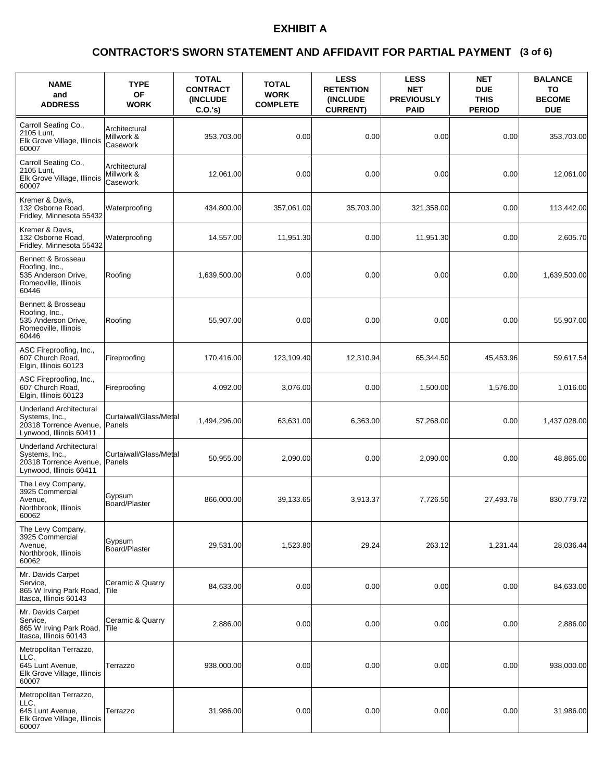### **(3 of 6) CONTRACTOR'S SWORN STATEMENT AND AFFIDAVIT FOR PARTIAL PAYMENT**

| <b>NAME</b><br>and<br><b>ADDRESS</b>                                                                  | <b>TYPE</b><br>OF<br><b>WORK</b>        | <b>TOTAL</b><br><b>CONTRACT</b><br><b>(INCLUDE)</b><br>$C.O.'s$ ) | <b>TOTAL</b><br><b>WORK</b><br><b>COMPLETE</b> | <b>LESS</b><br><b>RETENTION</b><br><b>(INCLUDE</b><br><b>CURRENT)</b> | <b>LESS</b><br><b>NET</b><br><b>PREVIOUSLY</b><br><b>PAID</b> | <b>NET</b><br><b>DUE</b><br><b>THIS</b><br><b>PERIOD</b> | <b>BALANCE</b><br>TO<br><b>BECOME</b><br><b>DUE</b> |
|-------------------------------------------------------------------------------------------------------|-----------------------------------------|-------------------------------------------------------------------|------------------------------------------------|-----------------------------------------------------------------------|---------------------------------------------------------------|----------------------------------------------------------|-----------------------------------------------------|
| Carroll Seating Co.,<br>2105 Lunt,<br>Elk Grove Village, Illinois<br>60007                            | Architectural<br>Millwork &<br>Casework | 353,703.00                                                        | 0.00                                           | 0.00                                                                  | 0.00                                                          | 0.00                                                     | 353,703.00                                          |
| Carroll Seating Co.,<br>2105 Lunt,<br>Elk Grove Village, Illinois<br>60007                            | Architectural<br>Millwork &<br>Casework | 12.061.00                                                         | 0.00                                           | 0.00                                                                  | 0.00                                                          | 0.00                                                     | 12,061.00                                           |
| Kremer & Davis.<br>132 Osborne Road.<br>Fridley, Minnesota 55432                                      | Waterproofing                           | 434,800.00                                                        | 357,061.00                                     | 35,703.00                                                             | 321,358.00                                                    | 0.00                                                     | 113,442.00                                          |
| Kremer & Davis,<br>132 Osborne Road,<br>Fridley, Minnesota 55432                                      | Waterproofing                           | 14,557.00                                                         | 11,951.30                                      | 0.00                                                                  | 11,951.30                                                     | 0.00                                                     | 2,605.70                                            |
| Bennett & Brosseau<br>Roofing, Inc.,<br>535 Anderson Drive,<br>Romeoville, Illinois<br>60446          | Roofing                                 | 1,639,500.00                                                      | 0.00                                           | 0.00                                                                  | 0.00                                                          | 0.00                                                     | 1,639,500.00                                        |
| Bennett & Brosseau<br>Roofing, Inc.,<br>535 Anderson Drive,<br>Romeoville, Illinois<br>60446          | Roofing                                 | 55,907.00                                                         | 0.00                                           | 0.00                                                                  | 0.00                                                          | 0.00                                                     | 55.907.00                                           |
| ASC Fireproofing, Inc.,<br>607 Church Road,<br>Elgin, Illinois 60123                                  | Fireproofing                            | 170,416.00                                                        | 123,109.40                                     | 12,310.94                                                             | 65,344.50                                                     | 45,453.96                                                | 59,617.54                                           |
| ASC Fireproofing, Inc.,<br>607 Church Road,<br>Elgin, Illinois 60123                                  | Fireproofing                            | 4,092.00                                                          | 3,076.00                                       | 0.00                                                                  | 1,500.00                                                      | 1,576.00                                                 | 1,016.00                                            |
| <b>Underland Architectural</b><br>Systems, Inc.,<br>20318 Torrence Avenue,<br>Lynwood, Illinois 60411 | Curtaiwall/Glass/Metal<br>Panels        | 1,494,296.00                                                      | 63,631.00                                      | 6,363.00                                                              | 57,268.00                                                     | 0.00                                                     | 1,437,028.00                                        |
| <b>Underland Architectural</b><br>Systems, Inc.,<br>20318 Torrence Avenue,<br>Lynwood, Illinois 60411 | Curtaiwall/Glass/Metal<br>Panels        | 50,955.00                                                         | 2,090.00                                       | 0.00                                                                  | 2,090.00                                                      | 0.00                                                     | 48,865.00                                           |
| The Levy Company,<br>3925 Commercial<br>Avenue,<br>Northbrook, Illinois<br>60062                      | Gypsum<br>Board/Plaster                 | 866,000.00                                                        | 39,133.65                                      | 3,913.37                                                              | 7,726.50                                                      | 27,493.78                                                | 830,779.72                                          |
| The Levy Company,<br>3925 Commercial<br>Avenue,<br>Northbrook, Illinois<br>60062                      | Gypsum<br>Board/Plaster                 | 29,531.00                                                         | 1,523.80                                       | 29.24                                                                 | 263.12                                                        | 1,231.44                                                 | 28,036.44                                           |
| Mr. Davids Carpet<br>Service,<br>865 W Irving Park Road,<br>Itasca, Illinois 60143                    | Ceramic & Quarry<br> Tile               | 84,633.00                                                         | 0.00                                           | 0.00                                                                  | 0.00                                                          | 0.00                                                     | 84,633.00                                           |
| Mr. Davids Carpet<br>Service,<br>865 W Irving Park Road,<br>Itasca. Illinois 60143                    | Ceramic & Quarry<br> Tile               | 2,886.00                                                          | 0.00                                           | 0.00                                                                  | 0.00                                                          | 0.00                                                     | 2,886.00                                            |
| Metropolitan Terrazzo,<br>LLC,<br>645 Lunt Avenue,<br>Elk Grove Village, Illinois<br>60007            | Terrazzo                                | 938,000.00                                                        | 0.00                                           | 0.00                                                                  | 0.00                                                          | 0.00                                                     | 938,000.00                                          |
| Metropolitan Terrazzo,<br>LLC,<br>645 Lunt Avenue,<br>Elk Grove Village, Illinois<br>60007            | Terrazzo                                | 31,986.00                                                         | 0.00                                           | 0.00                                                                  | 0.00                                                          | 0.00                                                     | 31,986.00                                           |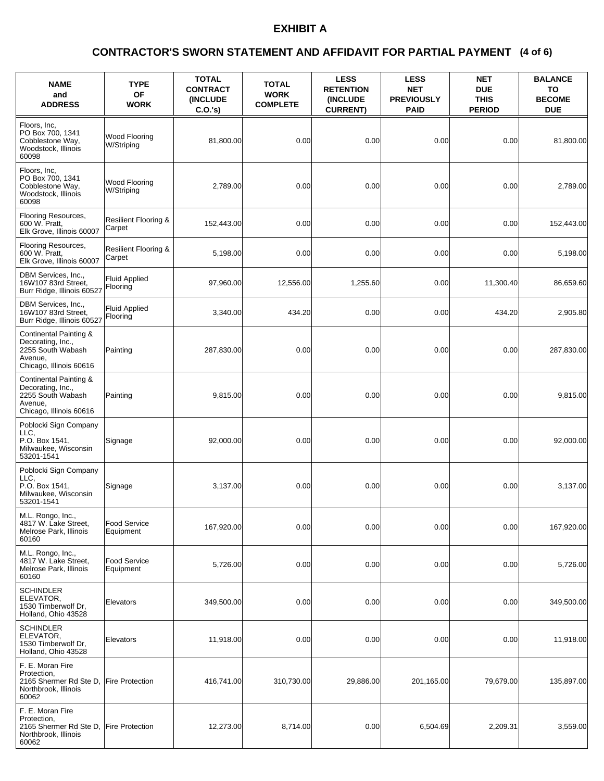### **(4 of 6) CONTRACTOR'S SWORN STATEMENT AND AFFIDAVIT FOR PARTIAL PAYMENT**

| <b>NAME</b><br>and<br><b>ADDRESS</b>                                                                   | <b>TYPE</b><br><b>OF</b><br><b>WORK</b>   | <b>TOTAL</b><br><b>CONTRACT</b><br><b>(INCLUDE)</b><br>$C.O.'s$ ) | <b>TOTAL</b><br><b>WORK</b><br><b>COMPLETE</b> | <b>LESS</b><br><b>RETENTION</b><br>(INCLUDE<br><b>CURRENT)</b> | <b>LESS</b><br><b>NET</b><br><b>PREVIOUSLY</b><br><b>PAID</b> | <b>NET</b><br><b>DUE</b><br><b>THIS</b><br><b>PERIOD</b> | <b>BALANCE</b><br>TO<br><b>BECOME</b><br><b>DUE</b> |
|--------------------------------------------------------------------------------------------------------|-------------------------------------------|-------------------------------------------------------------------|------------------------------------------------|----------------------------------------------------------------|---------------------------------------------------------------|----------------------------------------------------------|-----------------------------------------------------|
| Floors, Inc.<br>PO Box 700, 1341<br>Cobblestone Way,<br>Woodstock, Illinois<br>60098                   | Wood Flooring<br>W/Striping               | 81,800.00                                                         | 0.00                                           | 0.00                                                           | 0.00                                                          | 0.00                                                     | 81,800.00                                           |
| Floors, Inc.<br>PO Box 700, 1341<br>Cobblestone Way,<br>Woodstock, Illinois<br>60098                   | Wood Flooring<br>W/Striping               | 2,789.00                                                          | 0.00                                           | 0.00                                                           | 0.00                                                          | 0.00                                                     | 2,789.00                                            |
| Flooring Resources,<br>600 W. Pratt,<br>Elk Grove, Illinois 60007                                      | <b>Resilient Flooring &amp;</b><br>Carpet | 152,443.00                                                        | 0.00                                           | 0.00                                                           | 0.00                                                          | 0.00                                                     | 152,443.00                                          |
| Flooring Resources,<br>600 W. Pratt,<br>Elk Grove, Illinois 60007                                      | <b>Resilient Flooring &amp;</b><br>Carpet | 5,198.00                                                          | 0.00                                           | 0.00                                                           | 0.00                                                          | 0.00                                                     | 5,198.00                                            |
| DBM Services, Inc.,<br>16W107 83rd Street,<br>Burr Ridge, Illinois 60527                               | <b>Fluid Applied</b><br>Flooring          | 97,960.00                                                         | 12,556.00                                      | 1,255.60                                                       | 0.00                                                          | 11,300.40                                                | 86,659.60                                           |
| DBM Services, Inc.,<br>16W107 83rd Street,<br>Burr Ridge, Illinois 60527                               | <b>Fluid Applied</b><br>Flooring          | 3,340.00                                                          | 434.20                                         | 0.00                                                           | 0.00                                                          | 434.20                                                   | 2,905.80                                            |
| Continental Painting &<br>Decorating, Inc.,<br>2255 South Wabash<br>Avenue,<br>Chicago, Illinois 60616 | Painting                                  | 287,830.00                                                        | 0.00                                           | 0.00                                                           | 0.00                                                          | 0.00                                                     | 287,830.00                                          |
| Continental Painting &<br>Decorating, Inc.,<br>2255 South Wabash<br>Avenue,<br>Chicago, Illinois 60616 | Painting                                  | 9,815.00                                                          | 0.00                                           | 0.00                                                           | 0.00                                                          | 0.00                                                     | 9,815.00                                            |
| Poblocki Sign Company<br>LLC.<br>P.O. Box 1541,<br>Milwaukee, Wisconsin<br>53201-1541                  | Signage                                   | 92,000.00                                                         | 0.00                                           | 0.00                                                           | 0.00                                                          | 0.00                                                     | 92,000.00                                           |
| Poblocki Sign Company<br>LLC.<br>P.O. Box 1541,<br>Milwaukee, Wisconsin<br>53201-1541                  | Signage                                   | 3,137.00                                                          | 0.00                                           | 0.00                                                           | 0.00                                                          | 0.00                                                     | 3,137.00                                            |
| M.L. Rongo, Inc.,<br>4817 W. Lake Street,<br>Melrose Park, Illinois<br>60160                           | Food Service<br>Equipment                 | 167,920.00                                                        | 0.00                                           | 0.00                                                           | 0.00                                                          | 0.00                                                     | 167,920.00                                          |
| M.L. Rongo, Inc.,<br>4817 W. Lake Street,<br>Melrose Park, Illinois<br>60160                           | <b>Food Service</b><br>Equipment          | 5,726.00                                                          | 0.00                                           | 0.00                                                           | 0.00                                                          | 0.00                                                     | 5,726.00                                            |
| SCHINDLER<br>ELEVATOR,<br>1530 Timberwolf Dr,<br>Holland, Ohio 43528                                   | Elevators                                 | 349,500.00                                                        | 0.00                                           | 0.00                                                           | 0.00                                                          | 0.00                                                     | 349,500.00                                          |
| <b>SCHINDLER</b><br>ELEVATOR,<br>1530 Timberwolf Dr,<br>Holland, Ohio 43528                            | Elevators                                 | 11,918.00                                                         | 0.00                                           | 0.00                                                           | 0.00                                                          | 0.00                                                     | 11,918.00                                           |
| F. E. Moran Fire<br>Protection,<br>2165 Shermer Rd Ste D,<br>Northbrook, Illinois<br>60062             | <b>Fire Protection</b>                    | 416,741.00                                                        | 310,730.00                                     | 29,886.00                                                      | 201,165.00                                                    | 79,679.00                                                | 135,897.00                                          |
| F. E. Moran Fire<br>Protection,<br>2165 Shermer Rd Ste D,<br>Northbrook, Illinois<br>60062             | <b>Fire Protection</b>                    | 12,273.00                                                         | 8,714.00                                       | 0.00                                                           | 6,504.69                                                      | 2,209.31                                                 | 3,559.00                                            |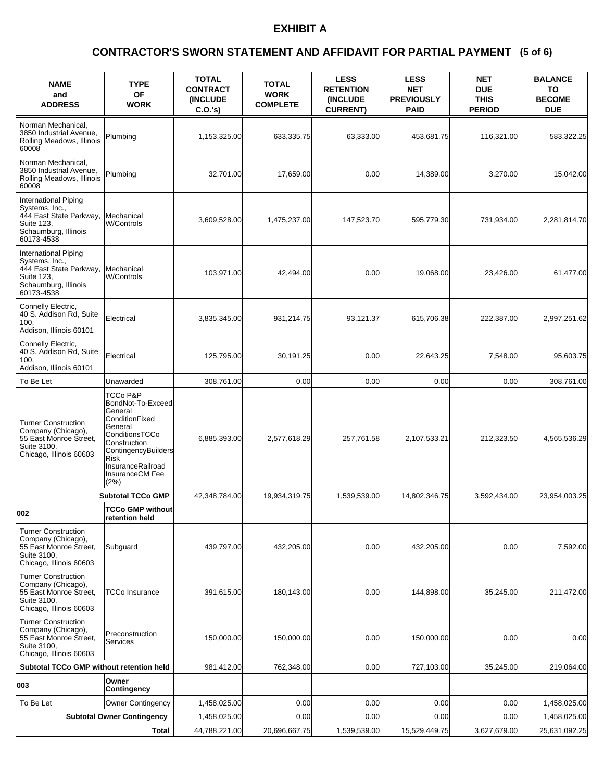### **(5 of 6) CONTRACTOR'S SWORN STATEMENT AND AFFIDAVIT FOR PARTIAL PAYMENT**

| <b>NAME</b><br>and<br><b>ADDRESS</b>                                                                                  | <b>TYPE</b><br><b>OF</b><br><b>WORK</b>                                                                                                                                                       | <b>TOTAL</b><br><b>CONTRACT</b><br><b>(INCLUDE)</b><br>$C.O.'s$ ) | <b>TOTAL</b><br><b>WORK</b><br><b>COMPLETE</b> | <b>LESS</b><br><b>RETENTION</b><br>(INCLUDE<br><b>CURRENT)</b> | <b>LESS</b><br><b>NET</b><br><b>PREVIOUSLY</b><br><b>PAID</b> | <b>NET</b><br><b>DUE</b><br><b>THIS</b><br><b>PERIOD</b> | <b>BALANCE</b><br>TO<br><b>BECOME</b><br><b>DUE</b> |
|-----------------------------------------------------------------------------------------------------------------------|-----------------------------------------------------------------------------------------------------------------------------------------------------------------------------------------------|-------------------------------------------------------------------|------------------------------------------------|----------------------------------------------------------------|---------------------------------------------------------------|----------------------------------------------------------|-----------------------------------------------------|
| Norman Mechanical.<br>3850 Industrial Avenue,<br>Rolling Meadows, Illinois<br>60008                                   | Plumbing                                                                                                                                                                                      | 1,153,325.00                                                      | 633,335.75                                     | 63,333.00                                                      | 453,681.75                                                    | 116,321.00                                               | 583,322.25                                          |
| Norman Mechanical,<br>3850 Industrial Avenue,<br>Rolling Meadows, Illinois<br>60008                                   | Plumbing                                                                                                                                                                                      | 32,701.00                                                         | 17,659.00                                      | 0.00                                                           | 14,389.00                                                     | 3,270.00                                                 | 15,042.00                                           |
| International Piping<br>Systems, Inc.,<br>444 East State Parkway,<br>Suite 123,<br>Schaumburg, Illinois<br>60173-4538 | Mechanical<br><b>W/Controls</b>                                                                                                                                                               | 3,609,528.00                                                      | 1,475,237.00                                   | 147,523.70                                                     | 595,779.30                                                    | 731,934.00                                               | 2,281,814.70                                        |
| International Piping<br>Systems, Inc.,<br>444 East State Parkway,<br>Suite 123,<br>Schaumburg, Illinois<br>60173-4538 | Mechanical<br><b>W/Controls</b>                                                                                                                                                               | 103,971.00                                                        | 42.494.00                                      | 0.00                                                           | 19,068.00                                                     | 23,426.00                                                | 61,477.00                                           |
| Connelly Electric,<br>40 S. Addison Rd, Suite<br>100,<br>Addison, Illinois 60101                                      | Electrical                                                                                                                                                                                    | 3,835,345.00                                                      | 931,214.75                                     | 93,121.37                                                      | 615,706.38                                                    | 222,387.00                                               | 2,997,251.62                                        |
| Connelly Electric,<br>40 S. Addison Rd, Suite<br>100.<br>Addison, Illinois 60101                                      | Electrical                                                                                                                                                                                    | 125,795.00                                                        | 30,191.25                                      | 0.00                                                           | 22,643.25                                                     | 7,548.00                                                 | 95,603.75                                           |
| To Be Let                                                                                                             | Unawarded                                                                                                                                                                                     | 308,761.00                                                        | 0.00                                           | 0.00                                                           | 0.00                                                          | 0.00                                                     | 308,761.00                                          |
| <b>Turner Construction</b><br>Company (Chicago),<br>55 East Monroe Street,<br>Suite 3100,<br>Chicago, Illinois 60603  | TCCo P&P<br>BondNot-To-Exceed<br>General<br>ConditionFixed<br>General<br>ConditionsTCCo<br>Construction<br>ContingencyBuilders<br><b>Risk</b><br>InsuranceRailroad<br>InsuranceCM Fee<br>(2%) | 6,885,393.00                                                      | 2,577,618.29                                   | 257,761.58                                                     | 2,107,533.21                                                  | 212,323.50                                               | 4,565,536.29                                        |
|                                                                                                                       | <b>Subtotal TCCo GMP</b>                                                                                                                                                                      | 42,348,784.00                                                     | 19,934,319.75                                  | 1,539,539.00                                                   | 14,802,346.75                                                 | 3,592,434.00                                             | 23,954,003.25                                       |
| 002                                                                                                                   | <b>TCCo GMP without</b><br>retention held                                                                                                                                                     |                                                                   |                                                |                                                                |                                                               |                                                          |                                                     |
| <b>Turner Construction</b><br>Company (Chicago),<br>55 East Monroe Street,<br>Suite 3100.<br>Chicago, Illinois 60603  | Subguard                                                                                                                                                                                      | 439,797.00                                                        | 432,205.00                                     | 0.00                                                           | 432,205.00                                                    | 0.00                                                     | 7,592.00                                            |
| <b>Turner Construction</b><br>Company (Chicago),<br>55 East Monroe Street,<br>Suite 3100,<br>Chicago, Illinois 60603  | <b>TCCo Insurance</b>                                                                                                                                                                         | 391,615.00                                                        | 180,143.00                                     | 0.00                                                           | 144,898.00                                                    | 35,245.00                                                | 211,472.00                                          |
| <b>Turner Construction</b><br>Company (Chicago),<br>55 East Monroe Street,<br>Suite 3100,<br>Chicago, Illinois 60603  | Preconstruction<br>Services                                                                                                                                                                   | 150,000.00                                                        | 150,000.00                                     | 0.00                                                           | 150,000.00                                                    | 0.00                                                     | 0.00                                                |
| Subtotal TCCo GMP without retention held                                                                              |                                                                                                                                                                                               | 981,412.00                                                        | 762,348.00                                     | 0.00                                                           | 727,103.00                                                    | 35,245.00                                                | 219,064.00                                          |
| 003                                                                                                                   | Owner<br>Contingency                                                                                                                                                                          |                                                                   |                                                |                                                                |                                                               |                                                          |                                                     |
| To Be Let                                                                                                             | <b>Owner Contingency</b>                                                                                                                                                                      | 1,458,025.00                                                      | 0.00                                           | 0.00                                                           | 0.00                                                          | 0.00                                                     | 1,458,025.00                                        |
|                                                                                                                       | <b>Subtotal Owner Contingency</b>                                                                                                                                                             | 1,458,025.00                                                      | 0.00                                           | 0.00                                                           | 0.00                                                          | 0.00                                                     | 1,458,025.00                                        |
|                                                                                                                       | Total                                                                                                                                                                                         | 44,788,221.00                                                     | 20,696,667.75                                  | 1,539,539.00                                                   | 15,529,449.75                                                 | 3,627,679.00                                             | 25,631,092.25                                       |